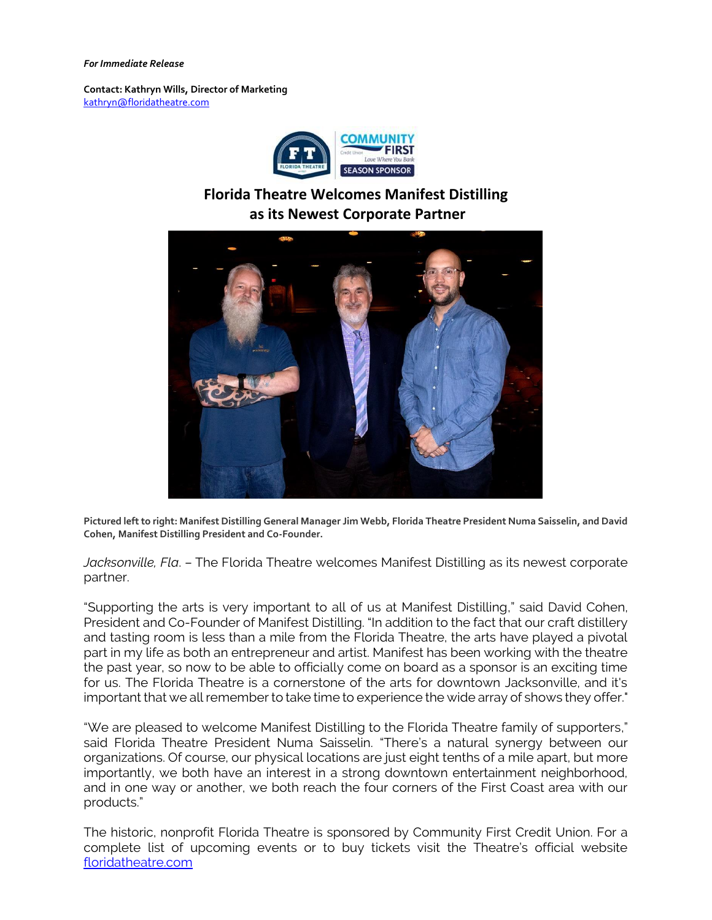## *For Immediate Release*

**Contact: Kathryn Wills, Director of Marketing**  [kathryn@floridatheatre.com](mailto:kathryn@floridatheatre.com)



## **Florida Theatre Welcomes Manifest Distilling as its Newest Corporate Partner**



**Pictured left to right: Manifest Distilling General Manager Jim Webb, Florida Theatre President Numa Saisselin, and David Cohen, Manifest Distilling President and Co-Founder.**

*Jacksonville, Fla*. – The Florida Theatre welcomes Manifest Distilling as its newest corporate partner.

"Supporting the arts is very important to all of us at Manifest Distilling," said David Cohen, President and Co-Founder of Manifest Distilling. "In addition to the fact that our craft distillery and tasting room is less than a mile from the Florida Theatre, the arts have played a pivotal part in my life as both an entrepreneur and artist. Manifest has been working with the theatre the past year, so now to be able to officially come on board as a sponsor is an exciting time for us. The Florida Theatre is a cornerstone of the arts for downtown Jacksonville, and it's important that we all remember to take time to experience the wide array of shows they offer."

"We are pleased to welcome Manifest Distilling to the Florida Theatre family of supporters," said Florida Theatre President Numa Saisselin. "There's a natural synergy between our organizations. Of course, our physical locations are just eight tenths of a mile apart, but more importantly, we both have an interest in a strong downtown entertainment neighborhood, and in one way or another, we both reach the four corners of the First Coast area with our products."

The historic, nonprofit Florida Theatre is sponsored by Community First Credit Union. For a complete list of upcoming events or to buy tickets visit the Theatre's official website [floridatheatre.com](http://floridatheatre.com/)